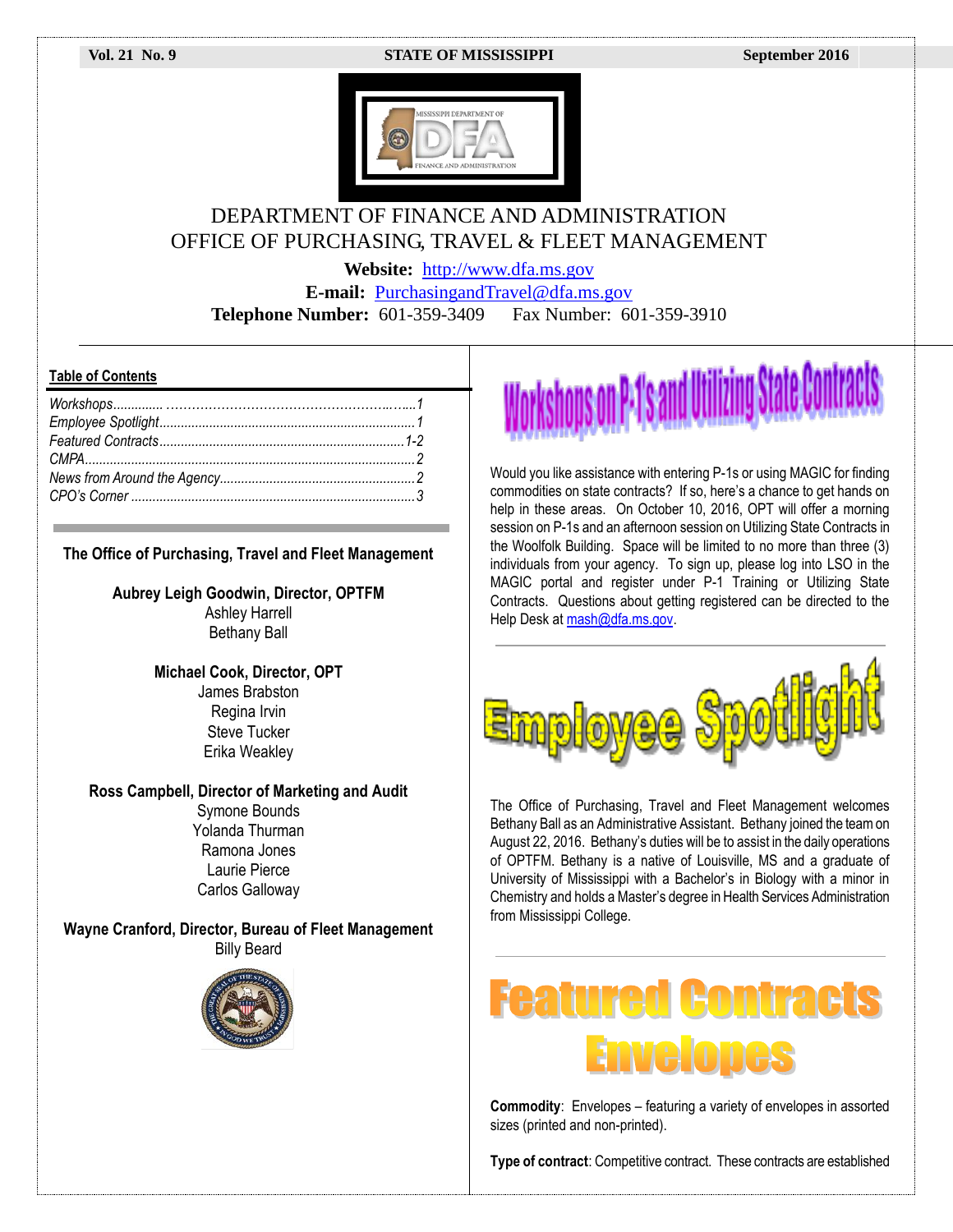#### **Vol. 21 No. 9 STATE OF MISSISSIPPI September 2016**



### DEPARTMENT OF FINANCE AND ADMINISTRATION OFFICE OF PURCHASING, TRAVEL & FLEET MANAGEMENT

**Website:** [http://www.dfa.ms.gov](http://www.dfa.ms.gov/)

**E-mail:** [PurchasingandTravel@dfa.ms.gov](mailto:PurchasingandTravel@dfa.ms.gov) **Telephone Number:** 601-359-3409 Fax Number: 601-359-3910

#### **Table of Contents**

#### **The Office of Purchasing, Travel and Fleet Management**

**Aubrey Leigh Goodwin, Director, OPTFM**

Ashley Harrell Bethany Ball

**Michael Cook, Director, OPT** James Brabston Regina Irvin Steve Tucker Erika Weakley

**Ross Campbell, Director of Marketing and Audit**

Symone Bounds Yolanda Thurman Ramona Jones Laurie Pierce Carlos Galloway

**Wayne Cranford, Director, Bureau of Fleet Management** Billy Beard



## on P•1's and Utilizing Stal

Would you like assistance with entering P-1s or using MAGIC for finding commodities on state contracts? If so, here's a chance to get hands on help in these areas. On October 10, 2016, OPT will offer a morning session on P-1s and an afternoon session on Utilizing State Contracts in the Woolfolk Building. Space will be limited to no more than three (3) individuals from your agency. To sign up, please log into LSO in the MAGIC portal and register under P-1 Training or Utilizing State Contracts. Questions about getting registered can be directed to the Help Desk at mash@dfa.ms.gov.



The Office of Purchasing, Travel and Fleet Management welcomes Bethany Ball as an Administrative Assistant. Bethany joined the team on August 22, 2016. Bethany's duties will be to assist in the daily operations of OPTFM. Bethany is a native of Louisville, MS and a graduate of University of Mississippi with a Bachelor's in Biology with a minor in Chemistry and holds a Master's degree in Health Services Administration from Mississippi College.

# EODITARI

**Commodity**: Envelopes – featuring a variety of envelopes in assorted sizes (printed and non-printed).

**Type of contract:** Competitive contract. These contracts are established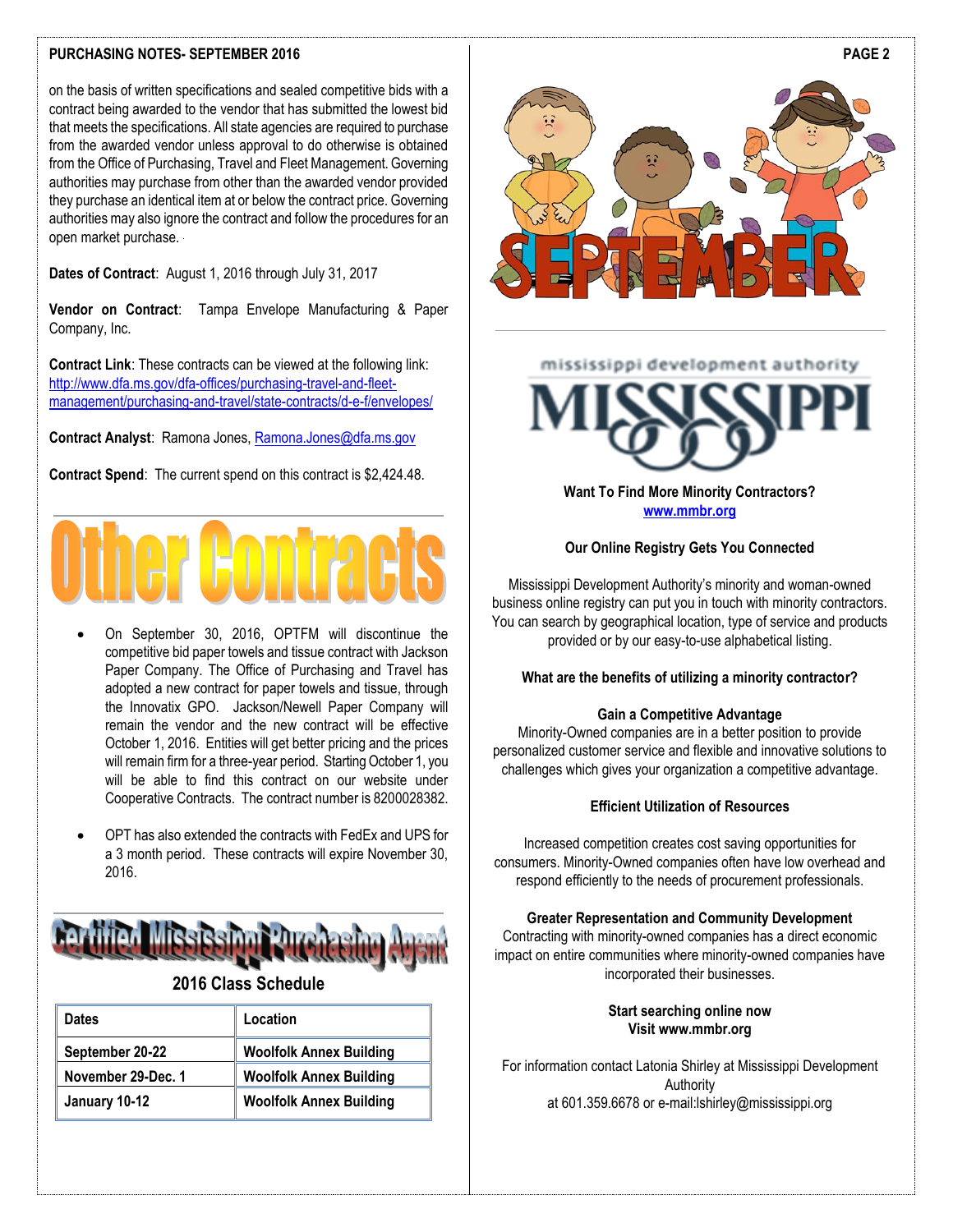#### **PURCHASING NOTES- SEPTEMBER 2016**

on the basis of written specifications and sealed competitive bids with a contract being awarded to the vendor that has submitted the lowest bid that meets the specifications. All state agencies are required to purchase from the awarded vendor unless approval to do otherwise is obtained from the Office of Purchasing, Travel and Fleet Management. Governing authorities may purchase from other than the awarded vendor provided they purchase an identical item at or below the contract price. Governing authorities may also ignore the contract and follow the procedures for an open market purchase.

**Dates of Contract**: August 1, 2016 through July 31, 2017

**Vendor on Contract**: Tampa Envelope Manufacturing & Paper Company, Inc.

**Contract Link**: These contracts can be viewed at the following link: [http://www.dfa.ms.gov/dfa-offices/purchasing-travel-and-fleet](http://www.dfa.ms.gov/dfa-offices/purchasing-travel-and-fleet-management/purchasing-and-travel/state-contracts/d-e-f/envelopes/)[management/purchasing-and-travel/state-contracts/d-e-f/envelopes/](http://www.dfa.ms.gov/dfa-offices/purchasing-travel-and-fleet-management/purchasing-and-travel/state-contracts/d-e-f/envelopes/)

**Contract Analyst**: Ramona Jones[, Ramona.Jones@dfa.ms.gov](mailto:Ramona.Jones@dfa.ms.gov)

**Contract Spend**: The current spend on this contract is \$2,424.48.



- On September 30, 2016, OPTFM will discontinue the competitive bid paper towels and tissue contract with Jackson Paper Company. The Office of Purchasing and Travel has adopted a new contract for paper towels and tissue, through the Innovatix GPO. Jackson/Newell Paper Company will remain the vendor and the new contract will be effective October 1, 2016. Entities will get better pricing and the prices will remain firm for a three-year period. Starting October 1, you will be able to find this contract on our website under Cooperative Contracts. The contract number is 8200028382.
- OPT has also extended the contracts with FedEx and UPS for a 3 month period. These contracts will expire November 30, 2016.



#### **2016 Class Schedule**

| <b>Dates</b>       | Location                       |
|--------------------|--------------------------------|
| September 20-22    | <b>Woolfolk Annex Building</b> |
| November 29-Dec. 1 | <b>Woolfolk Annex Building</b> |
| January 10-12      | <b>Woolfolk Annex Building</b> |



#### mississippi development authority



#### **Want To Find More Minority Contractors? [www.mmbr.org](http://www.mmbr.org/)**

#### **Our Online Registry Gets You Connected**

Mississippi Development Authority's minority and woman-owned business online registry can put you in touch with minority contractors. You can search by geographical location, type of service and products provided or by our easy-to-use alphabetical listing.

#### **What are the benefits of utilizing a minority contractor?**

#### **Gain a Competitive Advantage**

Minority-Owned companies are in a better position to provide personalized customer service and flexible and innovative solutions to challenges which gives your organization a competitive advantage.

#### **Efficient Utilization of Resources**

Increased competition creates cost saving opportunities for consumers. Minority-Owned companies often have low overhead and respond efficiently to the needs of procurement professionals.

#### **Greater Representation and Community Development**

Contracting with minority-owned companies has a direct economic impact on entire communities where minority-owned companies have incorporated their businesses.

> **Start searching online now Visit www.mmbr.org**

For information contact Latonia Shirley at Mississippi Development Authority at 601.359.6678 or e-mail:lshirley@mississippi.org